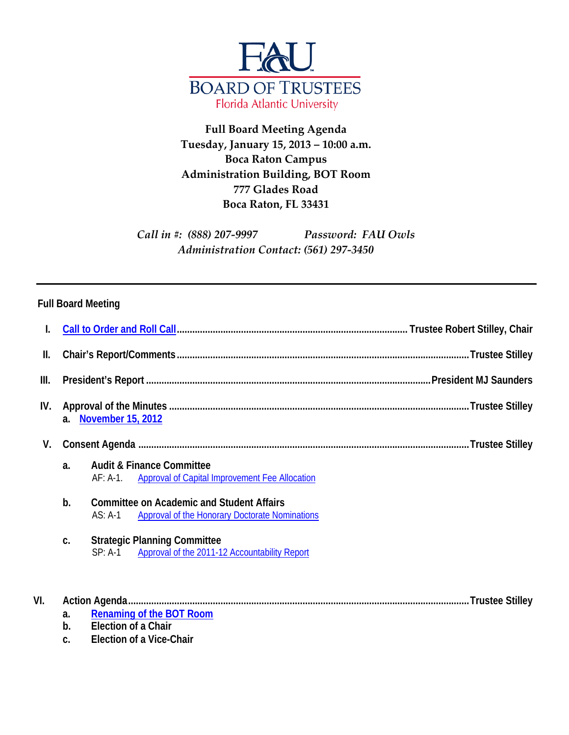

**Full Board Meeting Agenda Tuesday, January 15, 2013 – 10:00 a.m. Boca Raton Campus Administration Building, BOT Room 777 Glades Road Boca Raton, FL 33431**

*Call in #: (888) 207-9997 Password: FAU Owls Administration Contact: (561) 297-3450*

## **Full Board Meeting**

| I.   |                |                                                                                                                        |  |
|------|----------------|------------------------------------------------------------------------------------------------------------------------|--|
| Ш.   |                |                                                                                                                        |  |
| III. |                |                                                                                                                        |  |
| IV.  | a <sub>z</sub> | <b>November 15, 2012</b>                                                                                               |  |
| V.   |                |                                                                                                                        |  |
|      | a <sub>1</sub> | <b>Audit &amp; Finance Committee</b><br><b>Approval of Capital Improvement Fee Allocation</b><br>AF: A-1               |  |
|      | b.             | <b>Committee on Academic and Student Affairs</b><br>$AS: A-1$<br><b>Approval of the Honorary Doctorate Nominations</b> |  |
|      | C.             | <b>Strategic Planning Committee</b><br>SP: A-1 Approval of the 2011-12 Accountability Report                           |  |
| VI.  | a.             | <b>Renaming of the BOT Room</b>                                                                                        |  |
|      | b.             | Election of a Chair                                                                                                    |  |
|      | C.             | <b>Election of a Vice-Chair</b>                                                                                        |  |